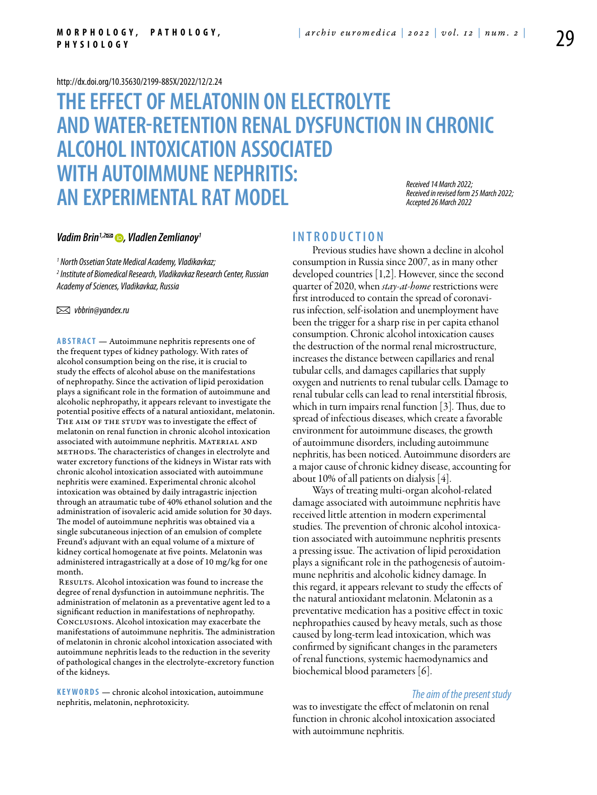#### <http://dx.doi.org/10.35630/2199-885X/2022/12/2.24>

# **THE EFFECT OF MELATONIN ON ELECTROLYTE AND WATER-RETENTION RENAL DYSFUNCTION IN CHRONIC ALCOHOL INTOXICATION ASSOCIATED WITH AUTOIMMUNE NEPHRITIS: AN EXPERIMENTAL RAT MODEL** *Received 14 March 2022; Received in revised form 25 March 2022; Accepted 26 March 2022*

### *Vadim Brin<sup>1,2</sup>*<sup> $2$ </sup> **⊙**, *Vladlen Zemlianoy<sup>1</sup>*

*1 North Ossetian State Medical Academy, Vladikavkaz; 2 Institute of Biomedical Research, Vladikavkaz Research Center, Russian Academy of Sciences, Vladikavkaz, Russia* 

 *vbbrin@yandex.ru* 

**Abstract** — Autoimmune nephritis represents one of the frequent types of kidney pathology. With rates of alcohol consumption being on the rise, it is crucial to study the effects of alcohol abuse on the manifestations of nephropathy. Since the activation of lipid peroxidation plays a significant role in the formation of autoimmune and alcoholic nephropathy, it appears relevant to investigate the potential positive effects of a natural antioxidant, melatonin. THE AIM OF THE STUDY was to investigate the effect of melatonin on renal function in chronic alcohol intoxication associated with autoimmune nephritis. MATERIAL AND methods. The characteristics of changes in electrolyte and water excretory functions of the kidneys in Wistar rats with chronic alcohol intoxication associated with autoimmune nephritis were examined. Experimental chronic alcohol intoxication was obtained by daily intragastric injection through an atraumatic tube of 40% ethanol solution and the administration of isovaleric acid amide solution for 30 days. The model of autoimmune nephritis was obtained via a single subcutaneous injection of an emulsion of complete Freund's adjuvant with an equal volume of a mixture of kidney cortical homogenate at five points. Melatonin was administered intragastrically at a dose of 10 mg/kg for one month.

RESULTS. Alcohol intoxication was found to increase the degree of renal dysfunction in autoimmune nephritis. The administration of melatonin as a preventative agent led to a significant reduction in manifestations of nephropathy. Conclusions. Alcohol intoxication may exacerbate the manifestations of autoimmune nephritis. The administration of melatonin in chronic alcohol intoxication associated with autoimmune nephritis leads to the reduction in the severity of pathological changes in the electrolyte-excretory function of the kidneys.

**K eywords** — chronic alcohol intoxication, autoimmune nephritis, melatonin, nephrotoxicity.

## **I n t r o ducti o n**

Previous studies have shown a decline in alcohol consumption in Russia since 2007, as in many other developed countries [1,2]. However, since the second quarter of 2020, when *stay-at-home* restrictions were first introduced to contain the spread of coronavirus infection, self-isolation and unemployment have been the trigger for a sharp rise in per capita ethanol consumption. Chronic alcohol intoxication causes the destruction of the normal renal microstructure, increases the distance between capillaries and renal tubular cells, and damages capillaries that supply oxygen and nutrients to renal tubular cells. Damage to renal tubular cells can lead to renal interstitial fibrosis, which in turn impairs renal function [3]. Thus, due to spread of infectious diseases, which create a favorable environment for autoimmune diseases, the growth of autoimmune disorders, including autoimmune nephritis, has been noticed. Autoimmune disorders are a major cause of chronic kidney disease, accounting for about 10% of all patients on dialysis [4].

Ways of treating multi-organ alcohol-related damage associated with autoimmune nephritis have received little attention in modern experimental studies. The prevention of chronic alcohol intoxication associated with autoimmune nephritis presents a pressing issue. The activation of lipid peroxidation plays a significant role in the pathogenesis of autoimmune nephritis and alcoholic kidney damage. In this regard, it appears relevant to study the effects of the natural antioxidant melatonin. Melatonin as a preventative medication has a positive effect in toxic nephropathies caused by heavy metals, such as those caused by long-term lead intoxication, which was confirmed by significant changes in the parameters of renal functions, systemic haemodynamics and biochemical blood parameters [6].

#### *The aim of the present study*

was to investigate the effect of melatonin on renal function in chronic alcohol intoxication associated with autoimmune nephritis.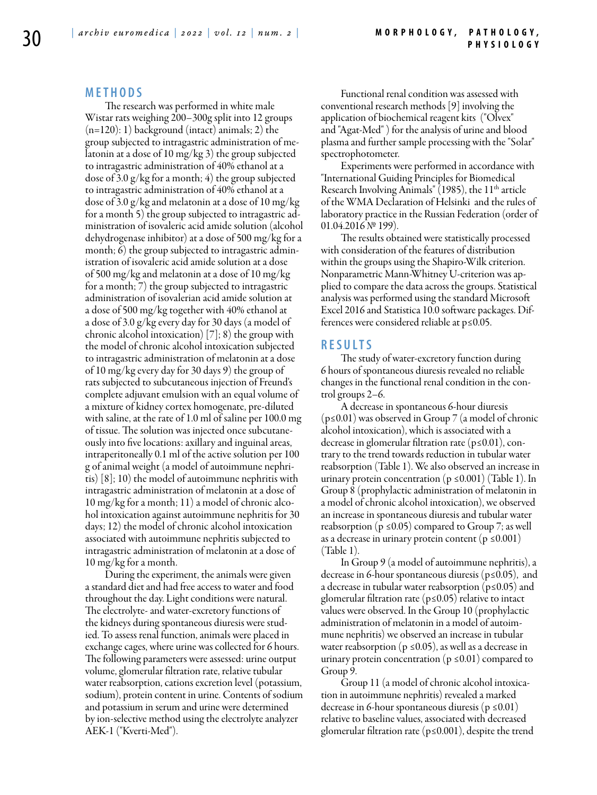## **M e t h o d s**

The research was performed in white male Wistar rats weighing 200–300g split into 12 groups  $(n=120): 1)$  background (intact) animals; 2) the group subjected to intragastric administration of melatonin at a dose of 10 mg/kg 3) the group subjected to intragastric administration of 40% ethanol at a dose of 3.0 g/kg for a month; 4) the group subjected to intragastric administration of 40% ethanol at a dose of 3.0 g/kg and melatonin at a dose of 10 mg/kg for a month 5) the group subjected to intragastric administration of isovaleric acid amide solution (alcohol dehydrogenase inhibitor) at a dose of 500 mg/kg for a month; 6) the group subjected to intragastric administration of isovaleric acid amide solution at a dose of 500 mg/kg and melatonin at a dose of 10 mg/kg for a month; 7) the group subjected to intragastric administration of isovalerian acid amide solution at a dose of 500 mg/kg together with 40% ethanol at a dose of 3.0 g/kg every day for 30 days (a model of chronic alcohol intoxication) [7]; 8) the group with the model of chronic alcohol intoxication subjected to intragastric administration of melatonin at a dose of 10 mg/kg every day for 30 days 9) the group of rats subjected to subcutaneous injection of Freund's complete adjuvant emulsion with an equal volume of a mixture of kidney cortex homogenate, pre-diluted with saline, at the rate of 1.0 ml of saline per 100.0 mg of tissue. The solution was injected once subcutaneously into five locations: axillary and inguinal areas, intraperitoneally 0.1 ml of the active solution per 100 g of animal weight (a model of autoimmune nephritis) [8]; 10) the model of autoimmune nephritis with intragastric administration of melatonin at a dose of 10 mg/kg for a month; 11) a model of chronic alcohol intoxication against autoimmune nephritis for 30 days; 12) the model of chronic alcohol intoxication associated with autoimmune nephritis subjected to intragastric administration of melatonin at a dose of 10 mg/kg for a month.

During the experiment, the animals were given a standard diet and had free access to water and food throughout the day. Light conditions were natural. The electrolyte- and water-excretory functions of the kidneys during spontaneous diuresis were studied. To assess renal function, animals were placed in exchange cages, where urine was collected for 6 hours. The following parameters were assessed: urine output volume, glomerular filtration rate, relative tubular water reabsorption, cations excretion level (potassium, sodium), protein content in urine. Contents of sodium and potassium in serum and urine were determined by ion-selective method using the electrolyte analyzer AEK-1 ("Kverti-Med").

Functional renal condition was assessed with conventional research methods [9] involving the application of biochemical reagent kits ("Olvex" and "Agat-Med" ) for the analysis of urine and blood plasma and further sample processing with the "Solar" spectrophotometer.

Experiments were performed in accordance with "International Guiding Principles for Biomedical Research Involving Animals" (1985), the 11<sup>th</sup> article of the WMA Declaration of Helsinki and the rules of laboratory practice in the Russian Federation (order of 01.04.2016 № 199).

The results obtained were statistically processed with consideration of the features of distribution within the groups using the Shapiro-Wilk criterion. Nonparametric Mann-Whitney U-criterion was applied to compare the data across the groups. Statistical analysis was performed using the standard Microsoft Excel 2016 and Statistica 10.0 software packages. Differences were considered reliable at p≤0.05.

#### **R e s ult s**

The study of water-excretory function during 6 hours of spontaneous diuresis revealed no reliable changes in the functional renal condition in the control groups 2–6.

A decrease in spontaneous 6-hour diuresis (p≤0.01) was observed in Group 7 (a model of chronic alcohol intoxication), which is associated with a decrease in glomerular filtration rate (p≤0.01), contrary to the trend towards reduction in tubular water reabsorption (Table 1). We also observed an increase in urinary protein concentration ( $p \le 0.001$ ) (Table 1). In Group 8 (prophylactic administration of melatonin in a model of chronic alcohol intoxication), we observed an increase in spontaneous diuresis and tubular water reabsorption ( $p \le 0.05$ ) compared to Group 7; as well as a decrease in urinary protein content ( $p \le 0.001$ ) (Table 1).

In Group 9 (a model of autoimmune nephritis), a decrease in 6-hour spontaneous diuresis ( $p \le 0.05$ ), and a decrease in tubular water reabsorption ( $p \le 0.05$ ) and glomerular filtration rate (p≤0.05) relative to intact values were observed. In the Group 10 (prophylactic administration of melatonin in a model of autoimmune nephritis) we observed an increase in tubular water reabsorption ( $p \le 0.05$ ), as well as a decrease in urinary protein concentration ( $p \le 0.01$ ) compared to Group 9.

Group 11 (a model of chronic alcohol intoxication in autoimmune nephritis) revealed a marked decrease in 6-hour spontaneous diuresis ( $p \le 0.01$ ) relative to baseline values, associated with decreased glomerular filtration rate (p≤0.001), despite the trend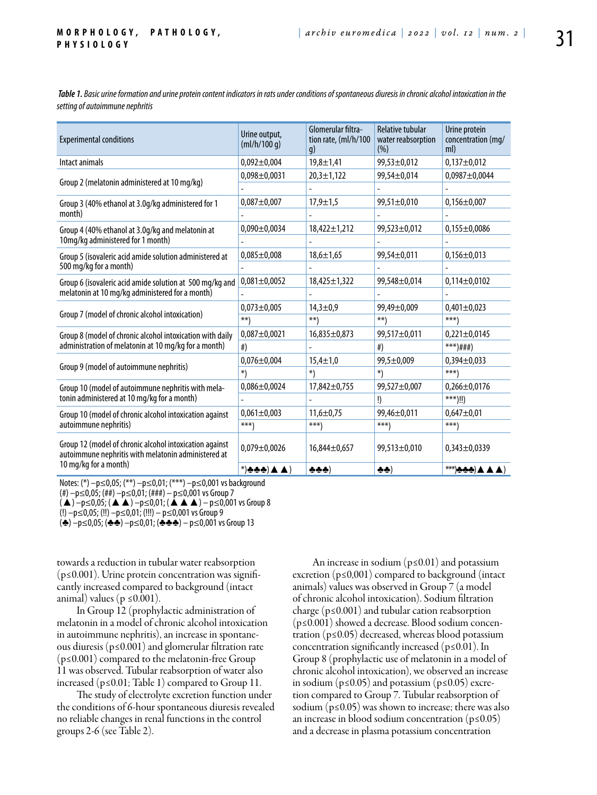*Table 1. Basic urine formation and urine protein content indicators in rats under conditions of spontaneous diuresis in chronic alcohol intoxication in the setting of autoimmune nephritis*

| <b>Experimental conditions</b>                                                                                 | Urine output,<br>(mI/h/100 q)                                                     | Glomerular filtra-<br>tion rate, (ml/h/100<br>q) | <b>Relative tubular</b><br>water reabsorption<br>(% ) | Urine protein<br>concentration (mg/<br>ml)       |
|----------------------------------------------------------------------------------------------------------------|-----------------------------------------------------------------------------------|--------------------------------------------------|-------------------------------------------------------|--------------------------------------------------|
| Intact animals                                                                                                 | $0,092 \pm 0,004$                                                                 | $19,8 \pm 1,41$                                  | 99,53±0,012                                           | $0,137 \pm 0,012$                                |
|                                                                                                                | $0,098 \pm 0,0031$                                                                | $20,3 \pm 1,122$                                 | 99,54±0,014                                           | $0,0987 \pm 0,0044$                              |
| Group 2 (melatonin administered at 10 mg/kg)                                                                   |                                                                                   |                                                  |                                                       |                                                  |
| Group 3 (40% ethanol at 3.0g/kg administered for 1                                                             | $0,087 + 0,007$                                                                   | $17,9 \pm 1,5$                                   | 99,51±0,010                                           | $0,156 \pm 0,007$                                |
| month)                                                                                                         |                                                                                   |                                                  |                                                       |                                                  |
| Group 4 (40% ethanol at 3.0g/kg and melatonin at                                                               | $0,090 \pm 0,0034$                                                                | $18,422 \pm 1,212$                               | $99,523 \pm 0,012$                                    | $0,155 \pm 0,0086$                               |
| 10mg/kg administered for 1 month)                                                                              |                                                                                   |                                                  |                                                       |                                                  |
| Group 5 (isovaleric acid amide solution administered at                                                        | $0,085 \pm 0,008$                                                                 | $18,6 \pm 1,65$                                  | 99,54±0,011                                           | $0,156 \pm 0,013$                                |
| 500 mg/kg for a month)                                                                                         |                                                                                   |                                                  |                                                       |                                                  |
| Group 6 (isovaleric acid amide solution at 500 mg/kg and<br>melatonin at 10 mg/kg administered for a month)    | $0,081 \pm 0,0052$                                                                | $18,425 \pm 1,322$                               | 99,548±0,014                                          | $0,114\pm0,0102$                                 |
|                                                                                                                |                                                                                   |                                                  |                                                       |                                                  |
| Group 7 (model of chronic alcohol intoxication)                                                                | $0,073 \pm 0,005$                                                                 | $14,3 \pm 0.9$                                   | 99,49±0,009                                           | $0,401 \pm 0,023$                                |
|                                                                                                                | $**$                                                                              | $***$                                            | $**$                                                  | $***$ )                                          |
| Group 8 (model of chronic alcohol intoxication with daily                                                      | $0,087 \pm 0,0021$                                                                | $16,835 \pm 0,873$                               | 99,517±0,011                                          | $0,221 \pm 0,0145$                               |
| administration of melatonin at 10 mg/kg for a month)                                                           | #                                                                                 |                                                  | #                                                     | $***$ )###)                                      |
|                                                                                                                | $0,076 \pm 0,004$                                                                 | $15,4 \pm 1,0$                                   | 99,5±0,009                                            | $0,394\pm0,033$                                  |
| Group 9 (model of autoimmune nephritis)                                                                        | *)                                                                                | $*)$                                             | $*)$                                                  | $***$                                            |
| Group 10 (model of autoimmune nephritis with mela-<br>tonin administered at 10 mg/kg for a month)              | $0,086 \pm 0,0024$                                                                | $17,842 \pm 0.755$                               | 99,527±0,007                                          | $0,266 \pm 0,0176$                               |
|                                                                                                                |                                                                                   |                                                  | !)                                                    | $***)$ !!)                                       |
| Group 10 (model of chronic alcohol intoxication against                                                        | $0,061 \pm 0,003$                                                                 | $11,6 \pm 0,75$                                  | 99,46±0,011                                           | $0,647 \pm 0,01$                                 |
| autoimmune nephritis)                                                                                          | $***$                                                                             | $***$                                            | $***$                                                 | $***$ )                                          |
| Group 12 (model of chronic alcohol intoxication against<br>autoimmune nephritis with melatonin administered at | $0,079 \pm 0,0026$                                                                | $16,844\pm0.657$                                 | 99,513±0,010                                          | $0,343\pm0,0339$                                 |
| 10 mg/kg for a month)                                                                                          | $*(\blacktriangle \blacktriangle (\blacktriangle \blacktriangle \blacktriangle))$ | ትተት)                                             | 小小                                                    | $(\blacktriangle \blacktriangle \blacktriangle)$ |

Notes: (\*) –p≤0,05; (\*\*) –p≤0,01; (\*\*\*) –p≤0,001 vs background

(#) –р≤0,05; (##) –р≤0,01; (###) – р≤0,001 vs Group 7

 $(\triangle)$  –p≤0,05;  $(\triangle \triangle)$  –p≤0,01;  $(\triangle \triangle \triangle)$  – p≤0,001 vs Group 8

(!) –р≤0,05; (!!) –р≤0,01; (!!!) – р≤0,001 vs Group 9

(♣) –р≤0,05; (♣♣) –р≤0,01; (♣♣♣) – р≤0,001 vs Group 13

towards a reduction in tubular water reabsorption (p≤0.001). Urine protein concentration was significantly increased compared to background (intact animal) values ( $p \le 0.001$ ).

In Group 12 (prophylactic administration of melatonin in a model of chronic alcohol intoxication in autoimmune nephritis), an increase in spontaneous diuresis (p≤0.001) and glomerular filtration rate (p≤0.001) compared to the melatonin-free Group 11 was observed. Tubular reabsorption of water also increased (p≤0.01; Table 1) compared to Group 11.

The study of electrolyte excretion function under the conditions of 6-hour spontaneous diuresis revealed no reliable changes in renal functions in the control groups 2-6 (see Table 2).

An increase in sodium ( $p \le 0.01$ ) and potassium excretion (p≤0,001) compared to background (intact animals) values was observed in Group 7 (a model of chronic alcohol intoxication). Sodium filtration charge ( $p \le 0.001$ ) and tubular cation reabsorption (p≤0.001) showed a decrease. Blood sodium concentration ( $p \le 0.05$ ) decreased, whereas blood potassium concentration significantly increased  $(p \le 0.01)$ . In Group 8 (prophylactic use of melatonin in a model of chronic alcohol intoxication), we observed an increase in sodium ( $p≤0.05$ ) and potassium ( $p≤0.05$ ) excretion compared to Group 7. Tubular reabsorption of sodium ( $p \le 0.05$ ) was shown to increase; there was also an increase in blood sodium concentration ( $p \le 0.05$ ) and a decrease in plasma potassium concentration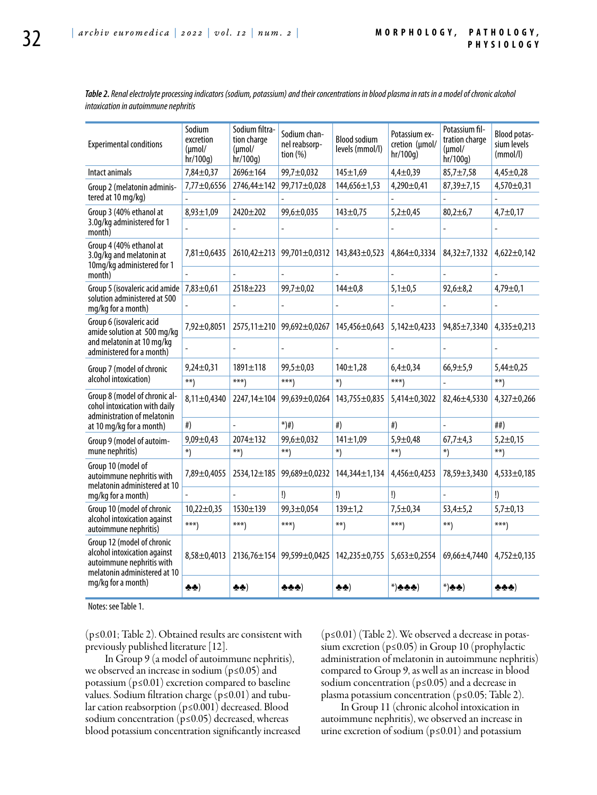*Table 2. Renal electrolyte processing indicators (sodium, potassium) and their concentrations in blood plasma in rats in a model of chronic alcohol intoxication in autoimmune nephritis*

| <b>Experimental conditions</b>                                                                                                                                                   | Sodium<br>excretion<br>$(\mu mol/$<br>hr/100g) | Sodium filtra-<br>tion charge<br>$(\mu \text{mol}/$<br>hr/100q) | Sodium chan-<br>nel reabsorp-<br>tion $(%)$ | <b>Blood sodium</b><br>levels (mmol/l) | Potassium ex-<br>cretion (µmol/<br>hr/100q) | Potassium fil-<br>tration charge<br>$(\mu mol/$<br>hr/100g) | Blood potas-<br>sium levels<br>(mmol/l) |
|----------------------------------------------------------------------------------------------------------------------------------------------------------------------------------|------------------------------------------------|-----------------------------------------------------------------|---------------------------------------------|----------------------------------------|---------------------------------------------|-------------------------------------------------------------|-----------------------------------------|
| Intact animals                                                                                                                                                                   | 7,84±0,37                                      | 2696±164                                                        | 99,7±0,032                                  | $145 \pm 1,69$                         | $4,4 \pm 0,39$                              | $85,7 \pm 7,58$                                             | $4,45 \pm 0,28$                         |
| Group 2 (melatonin adminis-                                                                                                                                                      | 7,77±0,6556                                    | 2746,44±142                                                     | 99,717±0,028                                | 144,656±1,53                           | $4,290 \pm 0,41$                            | $87,39 \pm 7,15$                                            | $4,570 \pm 0,31$                        |
| tered at 10 mg/kg)                                                                                                                                                               |                                                |                                                                 |                                             |                                        |                                             |                                                             |                                         |
| Group 3 (40% ethanol at<br>3.0q/kg administered for 1<br>month)                                                                                                                  | $8,93 \pm 1,09$                                | 2420±202                                                        | 99,6±0,035                                  | 143±0,75                               | $5,2 \pm 0,45$                              | $80,2 \pm 6,7$                                              | $4,7+0,17$                              |
| Group 4 (40% ethanol at<br>3.0q/kq and melatonin at<br>10mg/kg administered for 1                                                                                                | 7,81±0,6435                                    | $2610,42\pm213$                                                 | 99,701±0,0312                               | 143,843±0,523                          | $4,864 \pm 0,3334$                          | 84,32±7,1332                                                | $4,622 \pm 0,142$                       |
| month)<br>Group 5 (isovaleric acid amide                                                                                                                                         |                                                |                                                                 |                                             |                                        |                                             |                                                             |                                         |
|                                                                                                                                                                                  | $7,83 \pm 0,61$                                | $2518 + 223$                                                    | 99,7±0,02                                   | $144 + 0.8$                            | $5,1 \pm 0,5$                               | $92,6 \pm 8,2$                                              | $4,79 \pm 0,1$                          |
| solution administered at 500<br>mg/kg for a month)<br>Group 6 (isovaleric acid<br>amide solution at 500 mg/kg                                                                    |                                                |                                                                 |                                             |                                        |                                             |                                                             |                                         |
|                                                                                                                                                                                  | 7,92±0,8051                                    | 2575,11±210                                                     | 99,692±0,0267                               | 145,456±0,643                          | $5,142 \pm 0,4233$                          | 94,85±7,3340                                                | 4,335±0,213                             |
| and melatonin at 10 mg/kg<br>administered for a month)<br>Group 7 (model of chronic                                                                                              |                                                |                                                                 |                                             |                                        |                                             |                                                             |                                         |
|                                                                                                                                                                                  | $9,24 \pm 0,31$                                | $1891 \pm 118$                                                  | 99,5±0,03                                   | $140 \pm 1,28$                         | $6,4 \pm 0,34$                              | $66,9{\pm}5,9$                                              | $5,44\pm0,25$                           |
| alcohol intoxication)<br>Group 8 (model of chronic al-<br>cohol intoxication with daily<br>administration of melatonin                                                           | $**$                                           | $***$                                                           | $***$                                       | $*)$                                   | $***$                                       |                                                             | $^{**}$                                 |
|                                                                                                                                                                                  | $8,11\pm0,4340$                                | 2247,14±104                                                     | 99,639±0,0264                               | 143,755±0,835                          | 5,414±0,3022                                | $82,46 \pm 4,5330$                                          | $4,327 \pm 0,266$                       |
| at 10 mg/kg for a month)<br>Group 9 (model of autoim-                                                                                                                            | #                                              |                                                                 | $^{*})$ #)                                  | #                                      | #                                           |                                                             | ##                                      |
|                                                                                                                                                                                  | $9,09 \pm 0,43$                                | $2074 \pm 132$                                                  | 99,6±0,032                                  | $141 \pm 1,09$                         | $5,9 + 0,48$                                | $67,7+4,3$                                                  | $5,2+0,15$                              |
| mune nephritis)<br>Group 10 (model of<br>autoimmune nephritis with<br>melatonin administered at 10                                                                               | $*)$                                           | $**$                                                            | $***)$                                      | $^{*}$                                 | $**$                                        | $*)$                                                        | $***$                                   |
|                                                                                                                                                                                  | 7,89±0,4055                                    | 2534,12±185                                                     | 99,689±0,0232                               | 144,344±1,134                          | 4,456±0,4253                                | 78,59±3,3430                                                | 4,533±0,185                             |
| mg/kg for a month)<br>Group 10 (model of chronic                                                                                                                                 |                                                |                                                                 | !)                                          | !)                                     | !)                                          | $\overline{a}$                                              | !)                                      |
|                                                                                                                                                                                  | $10,22 \pm 0,35$                               | $1530 + 139$                                                    | $99,3 \pm 0,054$                            | $139 + 1,2$                            | $7,5 + 0,34$                                | $53,4 \pm 5,2$                                              | $5,7 \pm 0,13$                          |
| alcohol intoxication against<br>autoimmune nephritis)<br>Group 12 (model of chronic<br>alcohol intoxication against<br>autoimmune nephritis with<br>melatonin administered at 10 | $***$                                          | $***)$                                                          | $***)$                                      | $***)$                                 | $***$                                       | $***)$                                                      | $***)$                                  |
|                                                                                                                                                                                  | $8,58 \pm 0,4013$                              |                                                                 | 2136,76±154 99,599±0,0425                   | 142,235±0,755                          | 5,653±0,2554                                | 69,66±4,7440                                                | $4,752 \pm 0,135$                       |
| mg/kg for a month)                                                                                                                                                               | 웃춧)                                            | 추추)                                                             | ሎሎሎ)                                        | 웃읏)                                    | $^{*}$ ) ታታት                                | $*)$ *)                                                     | ሎሎሎ)                                    |

Notes: see Table 1.

(p≤0.01; Table 2). Obtained results are consistent with previously published literature [12].

In Group 9 (a model of autoimmune nephritis), we observed an increase in sodium (p≤0.05) and potassium (p≤0.01) excretion compared to baseline values. Sodium filtration charge (p≤0.01) and tubular cation reabsorption (p≤0.001) decreased. Blood sodium concentration (p≤0.05) decreased, whereas blood potassium concentration significantly increased (p≤0.01) (Table 2). We observed a decrease in potassium excretion (p≤0.05) in Group 10 (prophylactic administration of melatonin in autoimmune nephritis) compared to Group 9, as well as an increase in blood sodium concentration (p≤0.05) and a decrease in plasma potassium concentration (p≤0.05; Table 2).

In Group 11 (chronic alcohol intoxication in autoimmune nephritis), we observed an increase in urine excretion of sodium ( $p \le 0.01$ ) and potassium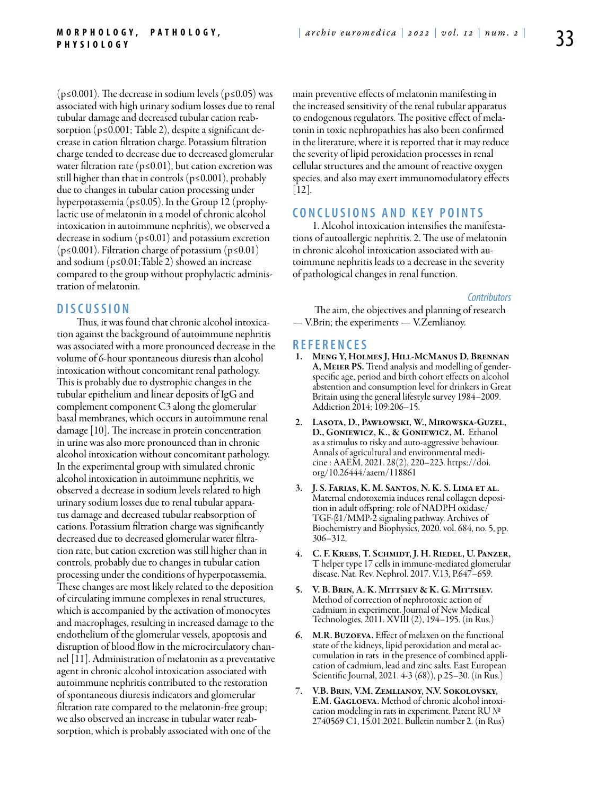( $p \le 0.001$ ). The decrease in sodium levels ( $p \le 0.05$ ) was associated with high urinary sodium losses due to renal tubular damage and decreased tubular cation reabsorption ( $p \le 0.001$ ; Table 2), despite a significant decrease in cation filtration charge. Potassium filtration charge tended to decrease due to decreased glomerular water filtration rate ( $p \le 0.01$ ), but cation excretion was still higher than that in controls (p≤0.001), probably due to changes in tubular cation processing under hyperpotassemia (p≤0.05). In the Group 12 (prophylactic use of melatonin in a model of chronic alcohol intoxication in autoimmune nephritis), we observed a decrease in sodium ( $p \le 0.01$ ) and potassium excretion  $(p \le 0.001)$ . Filtration charge of potassium ( $p \le 0.01$ ) and sodium (p≤0.01;Table 2) showed an increase compared to the group without prophylactic administration of melatonin.

## **D iscu s si o n**

Thus, it was found that chronic alcohol intoxication against the background of autoimmune nephritis was associated with a more pronounced decrease in the volume of 6-hour spontaneous diuresis than alcohol intoxication without concomitant renal pathology. This is probably due to dystrophic changes in the tubular epithelium and linear deposits of IgG and complement component C3 along the glomerular basal membranes, which occurs in autoimmune renal damage [10]. The increase in protein concentration in urine was also more pronounced than in chronic alcohol intoxication without concomitant pathology. In the experimental group with simulated chronic alcohol intoxication in autoimmune nephritis, we observed a decrease in sodium levels related to high urinary sodium losses due to renal tubular apparatus damage and decreased tubular reabsorption of cations. Potassium filtration charge was significantly decreased due to decreased glomerular water filtration rate, but cation excretion was still higher than in controls, probably due to changes in tubular cation processing under the conditions of hyperpotassemia. These changes are most likely related to the deposition of circulating immune complexes in renal structures, which is accompanied by the activation of monocytes and macrophages, resulting in increased damage to the endothelium of the glomerular vessels, apoptosis and disruption of blood flow in the microcirculatory channel [11]. Administration of melatonin as a preventative agent in chronic alcohol intoxication associated with autoimmune nephritis contributed to the restoration of spontaneous diuresis indicators and glomerular filtration rate compared to the melatonin-free group; we also observed an increase in tubular water reabsorption, which is probably associated with one of the

main preventive effects of melatonin manifesting in the increased sensitivity of the renal tubular apparatus to endogenous regulators. The positive effect of melatonin in toxic nephropathies has also been confirmed in the literature, where it is reported that it may reduce the severity of lipid peroxidation processes in renal cellular structures and the amount of reactive oxygen species, and also may exert immunomodulatory effects [12].

## **C o n clu si o n s a n d k ey p o i n t s**

1. Alcohol intoxication intensifies the manifestations of autoallergic nephritis. 2. The use of melatonin in chronic alcohol intoxication associated with autoimmune nephritis leads to a decrease in the severity of pathological changes in renal function.

*Contributors*

 The aim, the objectives and planning of research — V.Brin; the experiments — V.Zemlianoy.

#### **R efe r e n ce s**

- 1. Meng Y, Holmes J, Hill-McManus D, Brennan A, Meier PS. Trend analysis and modelling of genderspecific age, period and birth cohort effects on alcohol abstention and consumption level for drinkers in Great Britain using the general lifestyle survey 1984–2009. Addiction 2014; 109:206–15.
- 2. Lasota, D., Pawłowski, W., Mirowska-Guzel, D., Goniewicz, K., & Goniewicz, M. Ethanol as a stimulus to risky and auto-aggressive behaviour. Annals of agricultural and environmental medicine : AAEM, 2021. 28(2), 220–223. https://doi. org/10.26444/aaem/118861
- 3. J. S. Farias, K. M. Santos, N. K. S. Lima et al. Maternal endotoxemia induces renal collagen deposition in adult offspring: role of NADPH oxidase/ TGF-β1/MMP-2 signaling pathway. Archives of Biochemistry and Biophysics, 2020. vol. 684, no. 5, pp. 306–312,
- 4. C. F. Krebs, T. Schmidt, J. H. Riedel, U. Panzer, T helper type 17 cells in immune-mediated glomerular disease. Nat. Rev. Nephrol. 2017. V.13, P.647–659.
- 5. V. B. Brin, A. K. Mittsiev & K. G. Mittsiev. Method of correction of nephrotoxic action of cadmium in experiment. Journal of New Medical Technologies, 2011. XVIII (2), 194–195. (in Rus.)
- 6. M.R. Buzoeva. Effect of melaxen on the functional state of the kidneys, lipid peroxidation and metal accumulation in rats in the presence of combined application of cadmium, lead and zinc salts. East European Scientific Journal, 2021. 4-3 (68)), p.25–30. (in Rus.)
- 7. V.B. Brin, V.M. Zemlianoy, N.V. Sokolovsky, E.M. GAGLOEVA. Method of chronic alcohol intoxication modeling in rats in experiment. Patent RU № 2740569 C1, 15.01.2021. Bulletin number 2. (in Rus)